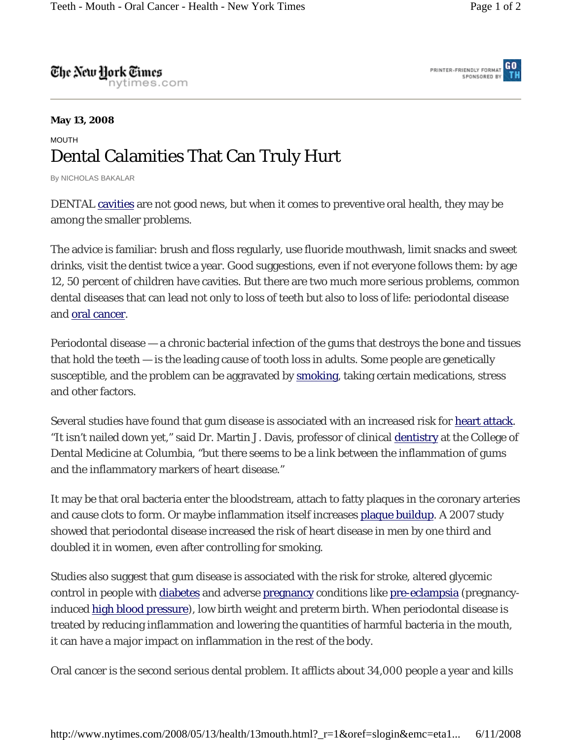## The New Hork Times

nytimes.com



## **May 13, 2008**

## MOUTH Dental Calamities That Can Truly Hurt

By NICHOLAS BAKALAR

DENTAL cavities are not good news, but when it comes to preventive oral health, they may be among the smaller problems.

The advice is familiar: brush and floss regularly, use fluoride mouthwash, limit snacks and sweet drinks, visit the dentist twice a year. Good suggestions, even if not everyone follows them: by age 12, 50 percent of children have cavities. But there are two much more serious problems, common dental diseases that can lead not only to loss of teeth but also to loss of life: periodontal disease and oral cancer.

Periodontal disease — a chronic bacterial infection of the gums that destroys the bone and tissues that hold the teeth — is the leading cause of tooth loss in adults. Some people are genetically susceptible, and the problem can be aggravated by **smoking**, taking certain medications, stress and other factors.

Several studies have found that gum disease is associated with an increased risk for heart attack. "It isn't nailed down yet," said Dr. Martin J. Davis, professor of clinical dentistry at the College of Dental Medicine at Columbia, "but there seems to be a link between the inflammation of gums and the inflammatory markers of heart disease."

It may be that oral bacteria enter the bloodstream, attach to fatty plaques in the coronary arteries and cause clots to form. Or maybe inflammation itself increases plaque buildup. A 2007 study showed that periodontal disease increased the risk of heart disease in men by one third and doubled it in women, even after controlling for smoking.

Studies also suggest that gum disease is associated with the risk for stroke, altered glycemic control in people with diabetes and adverse pregnancy conditions like pre-eclampsia (pregnancyinduced high blood pressure), low birth weight and preterm birth. When periodontal disease is treated by reducing inflammation and lowering the quantities of harmful bacteria in the mouth, it can have a major impact on inflammation in the rest of the body.

Oral cancer is the second serious dental problem. It afflicts about 34,000 people a year and kills